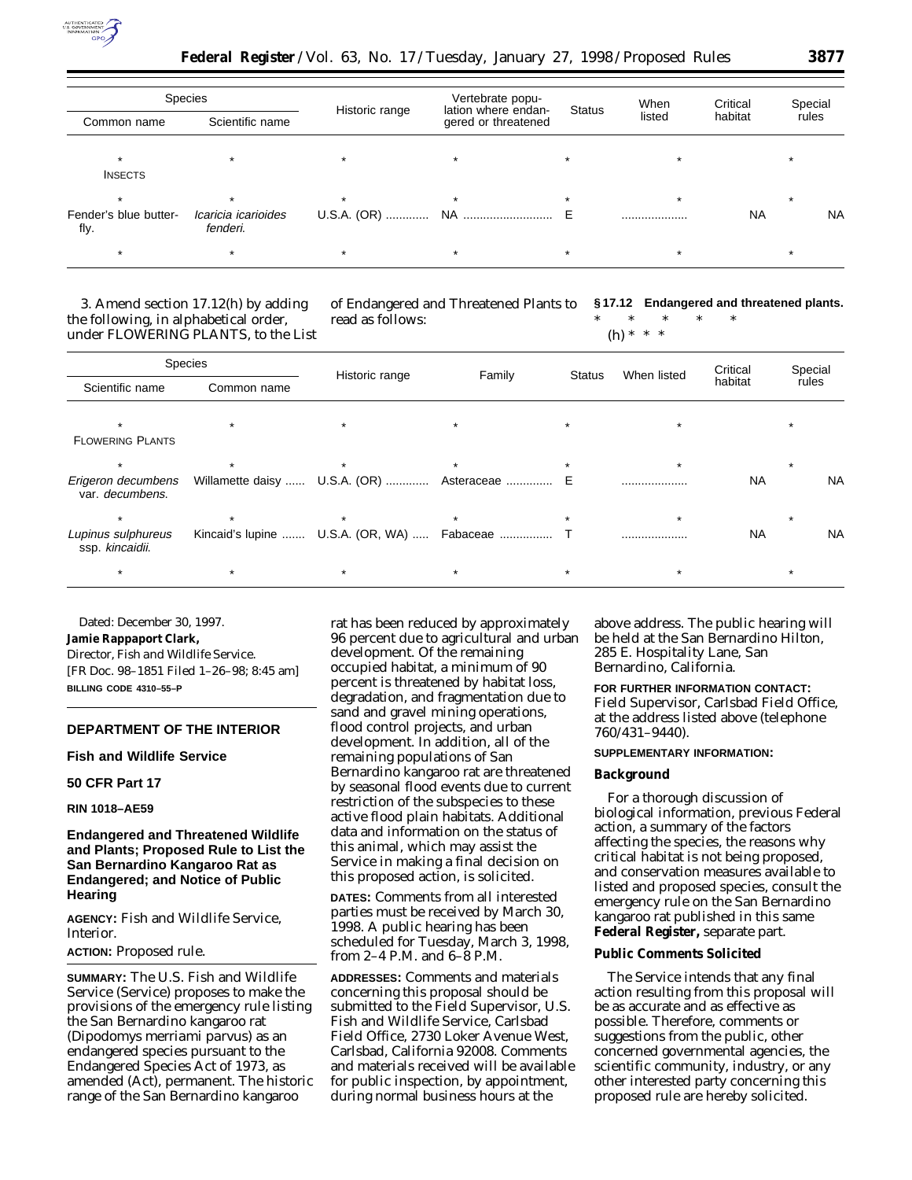

| <b>Species</b>                |                                 |                | Vertebrate popu-                           |               | When    | Critical  | Special |           |
|-------------------------------|---------------------------------|----------------|--------------------------------------------|---------------|---------|-----------|---------|-----------|
| Common name                   | Scientific name                 | Historic range | lation where endan-<br>gered or threatened | <b>Status</b> | listed  | habitat   | rules   |           |
| <b>INSECTS</b>                |                                 |                |                                            |               |         |           |         |           |
|                               |                                 | $\star$        |                                            |               | $\star$ |           | $\star$ |           |
| Fender's blue butter-<br>fly. | Icaricia icarioides<br>fenderi. |                |                                            |               |         | <b>NA</b> |         | <b>NA</b> |
|                               |                                 |                |                                            |               |         |           |         |           |

3. Amend section 17.12(h) by adding the following, in alphabetical order, under FLOWERING PLANTS, to the List of Endangered and Threatened Plants to read as follows:

**§ 17.12 Endangered and threatened plants.** \* \* \* \* \*

(h) \* \* \*

| Species                               |             |                |                                                |               |             | Critical  | Special |           |
|---------------------------------------|-------------|----------------|------------------------------------------------|---------------|-------------|-----------|---------|-----------|
| Scientific name                       | Common name | Historic range | Family                                         | <b>Status</b> | When listed | habitat   | rules   |           |
| $\star$                               | $\star$     |                | $\star$                                        | $\star$       |             |           |         |           |
| <b>FLOWERING PLANTS</b>               |             |                |                                                |               |             |           |         |           |
| $\star$                               |             |                |                                                |               |             |           |         |           |
| Erigeron decumbens<br>var. decumbens. |             |                | Willamette daisy  U.S.A. (OR)  Asteraceae  E   |               | .           | <b>NA</b> |         | <b>NA</b> |
| $\star$                               | $\star$     | $\star$        |                                                | $\star$       |             |           |         |           |
| Lupinus sulphureus<br>ssp. kincaidii. |             |                | Kincaid's lupine  U.S.A. (OR, WA)  Fabaceae  T |               |             | <b>NA</b> |         | <b>NA</b> |
| $\star$                               | $\star$     | $\star$        | $\star$                                        | $\star$       | $\star$     |           |         |           |

Dated: December 30, 1997.

**Jamie Rappaport Clark,**

*Director, Fish and Wildlife Service.* [FR Doc. 98–1851 Filed 1–26–98; 8:45 am] **BILLING CODE 4310–55–P**

# **DEPARTMENT OF THE INTERIOR**

**Fish and Wildlife Service**

# **50 CFR Part 17**

**RIN 1018–AE59**

# **Endangered and Threatened Wildlife and Plants; Proposed Rule to List the San Bernardino Kangaroo Rat as Endangered; and Notice of Public Hearing**

**AGENCY:** Fish and Wildlife Service, Interior.

#### **ACTION:** Proposed rule.

**SUMMARY:** The U.S. Fish and Wildlife Service (Service) proposes to make the provisions of the emergency rule listing the San Bernardino kangaroo rat (*Dipodomys merriami parvus*) as an endangered species pursuant to the Endangered Species Act of 1973, as amended (Act), permanent. The historic range of the San Bernardino kangaroo

rat has been reduced by approximately 96 percent due to agricultural and urban development. Of the remaining occupied habitat, a minimum of 90 percent is threatened by habitat loss, degradation, and fragmentation due to sand and gravel mining operations, flood control projects, and urban development. In addition, all of the remaining populations of San Bernardino kangaroo rat are threatened by seasonal flood events due to current restriction of the subspecies to these active flood plain habitats. Additional data and information on the status of this animal, which may assist the Service in making a final decision on this proposed action, is solicited.

**DATES:** Comments from all interested parties must be received by March 30, 1998. A public hearing has been scheduled for Tuesday, March 3, 1998, from 2–4 P.M. and 6–8 P.M.

**ADDRESSES:** Comments and materials concerning this proposal should be submitted to the Field Supervisor, U.S. Fish and Wildlife Service, Carlsbad Field Office, 2730 Loker Avenue West, Carlsbad, California 92008. Comments and materials received will be available for public inspection, by appointment, during normal business hours at the

above address. The public hearing will be held at the San Bernardino Hilton, 285 E. Hospitality Lane, San Bernardino, California.

**FOR FURTHER INFORMATION CONTACT:** Field Supervisor, Carlsbad Field Office, at the address listed above (telephone 760/431–9440).

#### **SUPPLEMENTARY INFORMATION:**

#### **Background**

For a thorough discussion of biological information, previous Federal action, a summary of the factors affecting the species, the reasons why critical habitat is not being proposed, and conservation measures available to listed and proposed species, consult the emergency rule on the San Bernardino kangaroo rat published in this same **Federal Register,** separate part.

#### **Public Comments Solicited**

The Service intends that any final action resulting from this proposal will be as accurate and as effective as possible. Therefore, comments or suggestions from the public, other concerned governmental agencies, the scientific community, industry, or any other interested party concerning this proposed rule are hereby solicited.